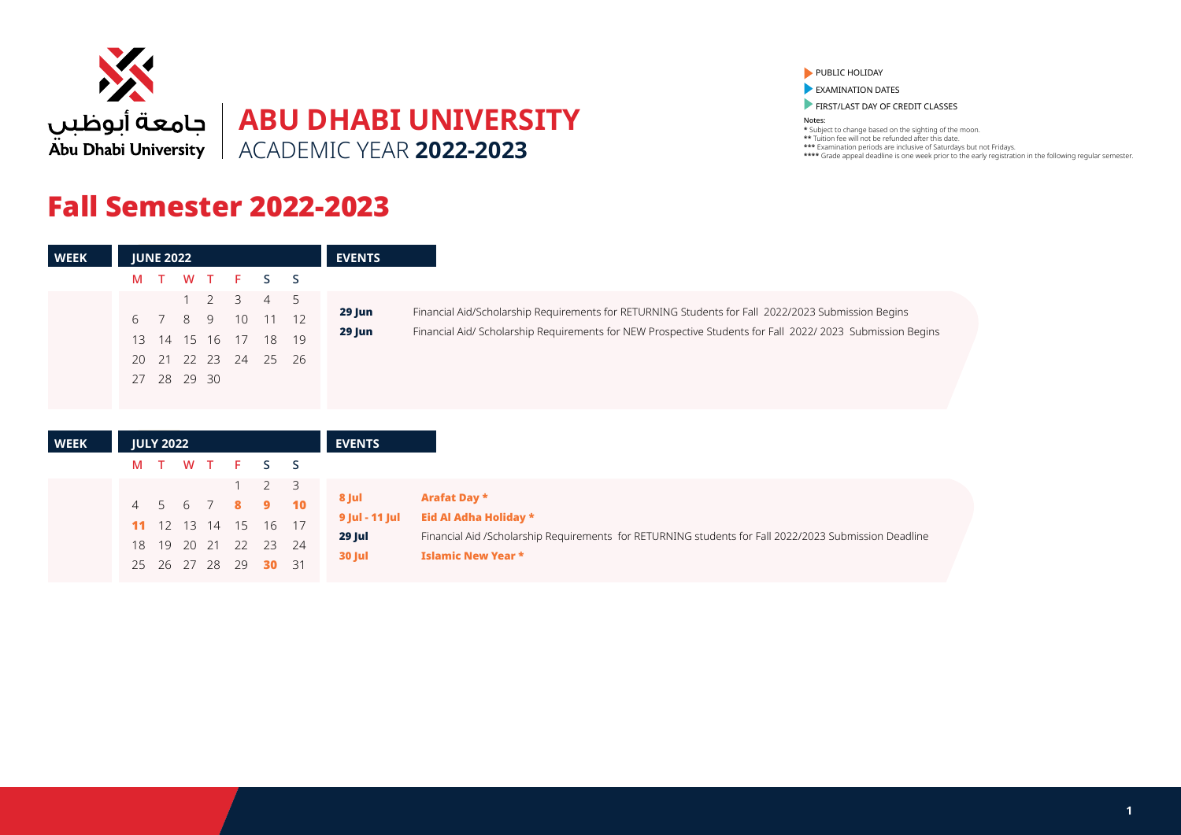

## Fall Semester 2022-2023

25 26 27 28 29 30 31

PUBLIC HOLIDAY

**EXAMINATION DATES** 

**FIRST/LAST DAY OF CREDIT CLASSES** 

Notes: \* Subject to change based on the sighting of the moon. \*\* Tuition fee will not be refunded after this date. \*\*\* Examination periods are inclusive of Saturdays but not Fridays. \*\*\*\* Grade appeal deadline is one week prior to the early registration in the following regular semester.

| <b>WEEK</b> |                      | <b>JUNE 2022</b>     |         |                      |               |                             |               | <b>EVENTS</b>    |
|-------------|----------------------|----------------------|---------|----------------------|---------------|-----------------------------|---------------|------------------|
|             | M T                  |                      | W       | T                    | F.            | S.                          | <sub>S</sub>  |                  |
|             | 6<br>13              | $\overline{7}$<br>14 | 8<br>15 | 2<br>9<br>16         | 3<br>10<br>17 | $\overline{4}$<br>-11<br>18 | 5<br>12<br>19 | 29 Jun<br>29 Jun |
|             | 20<br>27             | 28                   |         | 21 22 23<br>29 30    | 24            | - 25                        | 26            |                  |
| <b>WEEK</b> |                      | <b>JULY 2022</b>     |         |                      |               |                             |               | <b>EVENTS</b>    |
|             | M                    |                      | W T     |                      | F.            | S.                          | <sub>S</sub>  |                  |
|             |                      |                      |         |                      |               | $\overline{2}$              | 3             | 8 Jul            |
|             | $\overline{4}$<br>11 | .5<br>12             | 6<br>13 | $\overline{7}$<br>14 | 8<br>15       | 9<br>16                     | 10<br>17      | 9 Jul - 11 Jul   |
|             | 18                   | 19                   | 20      | 21                   | 22            | 23                          | 24            | 29 Jul           |

30 Jul Islamic New Year \*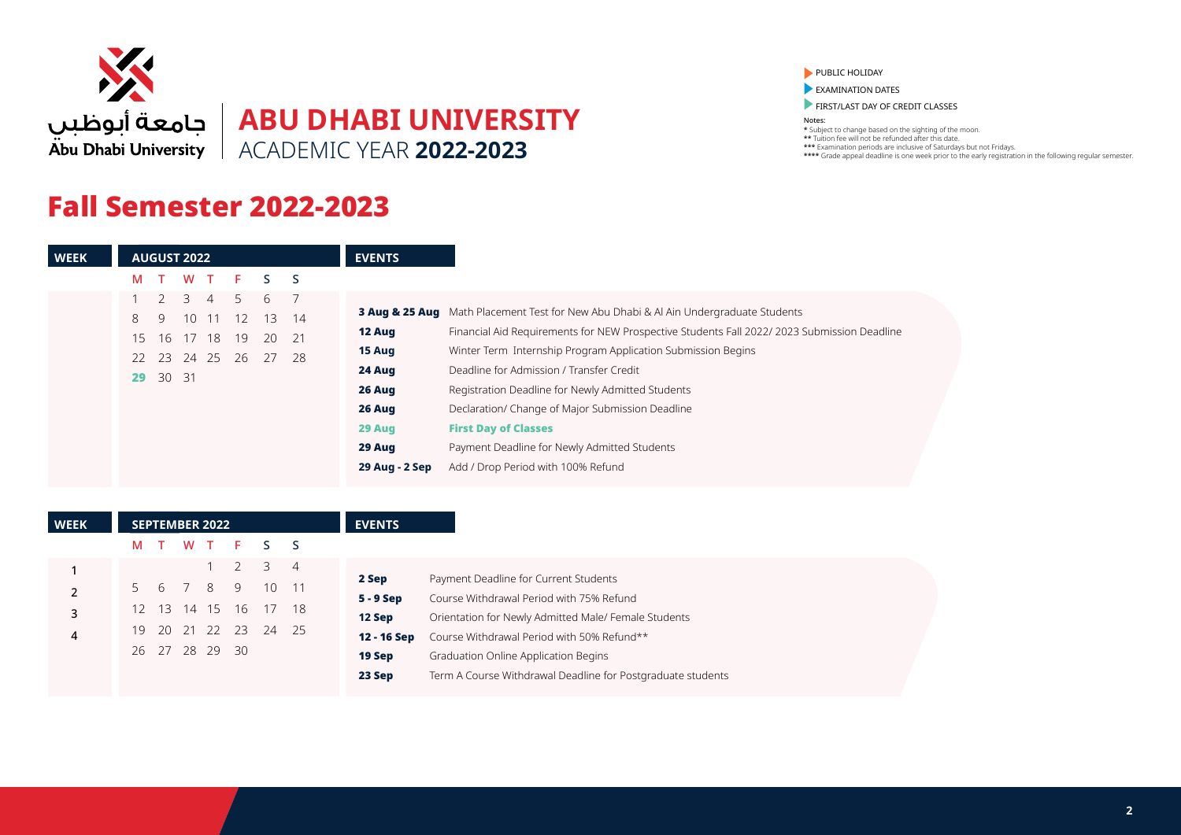

## Fall Semester 2022-2023

### PUBLIC HOLIDAY

**EXAMINATION DATES** 

**FIRST/LAST DAY OF CREDIT CLASSES** 

| <b>WEEK</b> | <b>AUGUST 2022</b>                                | <b>EVENTS</b>                                                                                        |  |
|-------------|---------------------------------------------------|------------------------------------------------------------------------------------------------------|--|
|             | W T<br>S <sub>S</sub><br>F.<br>M                  |                                                                                                      |  |
|             | 3<br>5.<br>6<br>$\overline{4}$                    |                                                                                                      |  |
|             | 10 <sup>°</sup><br>12<br>8<br>9<br>11<br>13<br>14 | <b>3 Aug &amp; 25 Aug</b> Math Placement Test for New Abu Dhabi & Al Ain Undergraduate Students      |  |
|             | 17 18<br>19<br>21<br>20<br>15 16                  | Financial Aid Requirements for NEW Prospective Students Fall 2022/2023 Submission Deadline<br>12 Aug |  |
|             | 22 23 24 25<br>-28<br>26<br>27                    | Winter Term Internship Program Application Submission Begins<br>15 Aug                               |  |
|             | 30 31<br>29                                       | 24 Aug<br>Deadline for Admission / Transfer Credit                                                   |  |
|             |                                                   | 26 Aug<br>Registration Deadline for Newly Admitted Students                                          |  |
|             |                                                   | 26 Aug<br>Declaration/ Change of Major Submission Deadline                                           |  |
|             |                                                   | <b>First Day of Classes</b><br>29 Aug                                                                |  |
|             |                                                   | Payment Deadline for Newly Admitted Students<br>29 Aug                                               |  |
|             |                                                   | Add / Drop Period with 100% Refund<br>29 Aug - 2 Sep                                                 |  |

| <b>WEEK</b> |     |       | <b>SEPTEMBER 2022</b>   |    |                 |                | <b>EVENTS</b>         |                                                                                    |
|-------------|-----|-------|-------------------------|----|-----------------|----------------|-----------------------|------------------------------------------------------------------------------------|
|             | M T |       | W T                     | F. | S S             |                |                       |                                                                                    |
|             |     |       |                         |    | 3               | $\overline{4}$ | 2 Sep                 | Payment Deadline for Current Students                                              |
|             | 56  |       | 8                       | 9  | 10 <sup>°</sup> | -11            | $5 - 9$ Sep           | Course Withdrawal Period with 75% Refund                                           |
| 3           | 12. | $-13$ | 14 15                   | 16 | $\frac{17}{2}$  | 18             | 12 Sep                | Orientation for Newly Admitted Male/ Female Students                               |
| 4           |     | 19 20 | 21 22<br>26 27 28 29 30 | 23 | 24              | - 25           | 12 - 16 Sep<br>19 Sep | Course Withdrawal Period with 50% Refund**<br>Graduation Online Application Begins |
|             |     |       |                         |    |                 |                | 23 Sep                | Term A Course Withdrawal Deadline for Postgraduate students                        |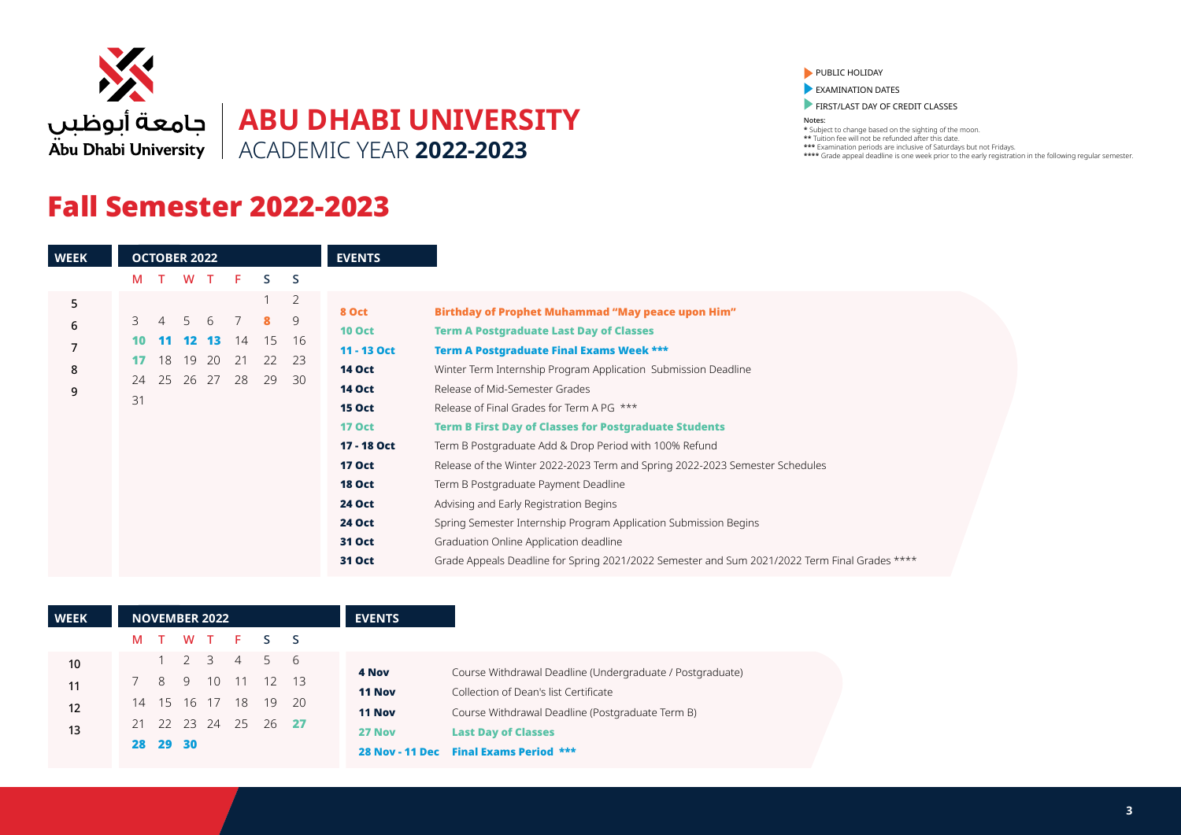

# **ABU DHABI UNIVERSITY** ACADEMIC YEAR **2022-2023**

## Fall Semester 2022-2023

#### PUBLIC HOLIDAY

**EXAMINATION DATES** 

**FIRST/LAST DAY OF CREDIT CLASSES** 

Notes:

| <b>WEEK</b>           |                           | <b>OCTOBER 2022</b>        |                                     |                  |                      |                     |                             | <b>EVENTS</b>                                                                                                                                                                                                 |                                                                                                                                                                                                                                                                                                                                                                                                                                                                                                                                                                                                                                                                                                                          |
|-----------------------|---------------------------|----------------------------|-------------------------------------|------------------|----------------------|---------------------|-----------------------------|---------------------------------------------------------------------------------------------------------------------------------------------------------------------------------------------------------------|--------------------------------------------------------------------------------------------------------------------------------------------------------------------------------------------------------------------------------------------------------------------------------------------------------------------------------------------------------------------------------------------------------------------------------------------------------------------------------------------------------------------------------------------------------------------------------------------------------------------------------------------------------------------------------------------------------------------------|
|                       | м                         |                            | W                                   | $\top$           | F                    | S.                  | <sub>S</sub>                |                                                                                                                                                                                                               |                                                                                                                                                                                                                                                                                                                                                                                                                                                                                                                                                                                                                                                                                                                          |
| 5<br>6<br>7<br>8<br>9 | 3<br>10<br>17<br>24<br>31 | $\overline{4}$<br>18<br>25 | 5<br>12 <sup>1</sup><br>19<br>26 27 | 6<br>-13.<br>-20 | 7<br>14<br>21<br>-28 | 8<br>15<br>22<br>29 | 2<br>9<br>16<br>- 23<br>-30 | 8 Oct<br><b>10 Oct</b><br>11 - 13 Oct<br><b>14 Oct</b><br><b>14 Oct</b><br><b>15 Oct</b><br><b>17 Oct</b><br>17 - 18 Oct<br><b>17 Oct</b><br><b>18 Oct</b><br><b>24 Oct</b><br><b>24 Oct</b><br><b>31 Oct</b> | <b>Birthday of Prophet Muhammad "May peace upon Him"</b><br><b>Term A Postgraduate Last Day of Classes</b><br><b>Term A Postgraduate Final Exams Week ***</b><br>Winter Term Internship Program Application Submission Deadline<br>Release of Mid-Semester Grades<br>Release of Final Grades for Term A PG ***<br><b>Term B First Day of Classes for Postgraduate Students</b><br>Term B Postgraduate Add & Drop Period with 100% Refund<br>Release of the Winter 2022-2023 Term and Spring 2022-2023 Semester Schedules<br>Term B Postgraduate Payment Deadline<br>Advising and Early Registration Begins<br>Spring Semester Internship Program Application Submission Begins<br>Graduation Online Application deadline |
|                       |                           |                            |                                     |                  |                      |                     |                             | 31 Oct                                                                                                                                                                                                        | Grade Appeals Deadline for Spring 2021/2022 Semester and Sum 2021/2022 Term Final Grades ****                                                                                                                                                                                                                                                                                                                                                                                                                                                                                                                                                                                                                            |

| <b>WEEK</b> |     |             | <b>NOVEMBER 2022</b> |                 |          |      | <b>EVENTS</b> |                                                           |
|-------------|-----|-------------|----------------------|-----------------|----------|------|---------------|-----------------------------------------------------------|
|             | M T |             |                      |                 | WT F S S |      |               |                                                           |
| 10          |     |             |                      | $1 \t2 \t3 \t4$ | 5 6      |      |               |                                                           |
| 11          |     | 8           | 9 10                 |                 | 11 12 13 |      | 4 Nov         | Course Withdrawal Deadline (Undergraduate / Postgraduate) |
|             |     |             | 14 15 16 17 18       |                 | 19       | - 20 | 11 Nov        | Collection of Dean's list Certificate                     |
| 12          |     |             |                      |                 |          |      | <b>11 Nov</b> | Course Withdrawal Deadline (Postgraduate Term B)          |
| 13          |     | 21 22 23 24 |                      | $\sim 25$       | 26 27    |      | 27 Nov        | <b>Last Day of Classes</b>                                |
|             |     | 28 29 30    |                      |                 |          |      |               | 28 Nov - 11 Dec Final Exams Period ***                    |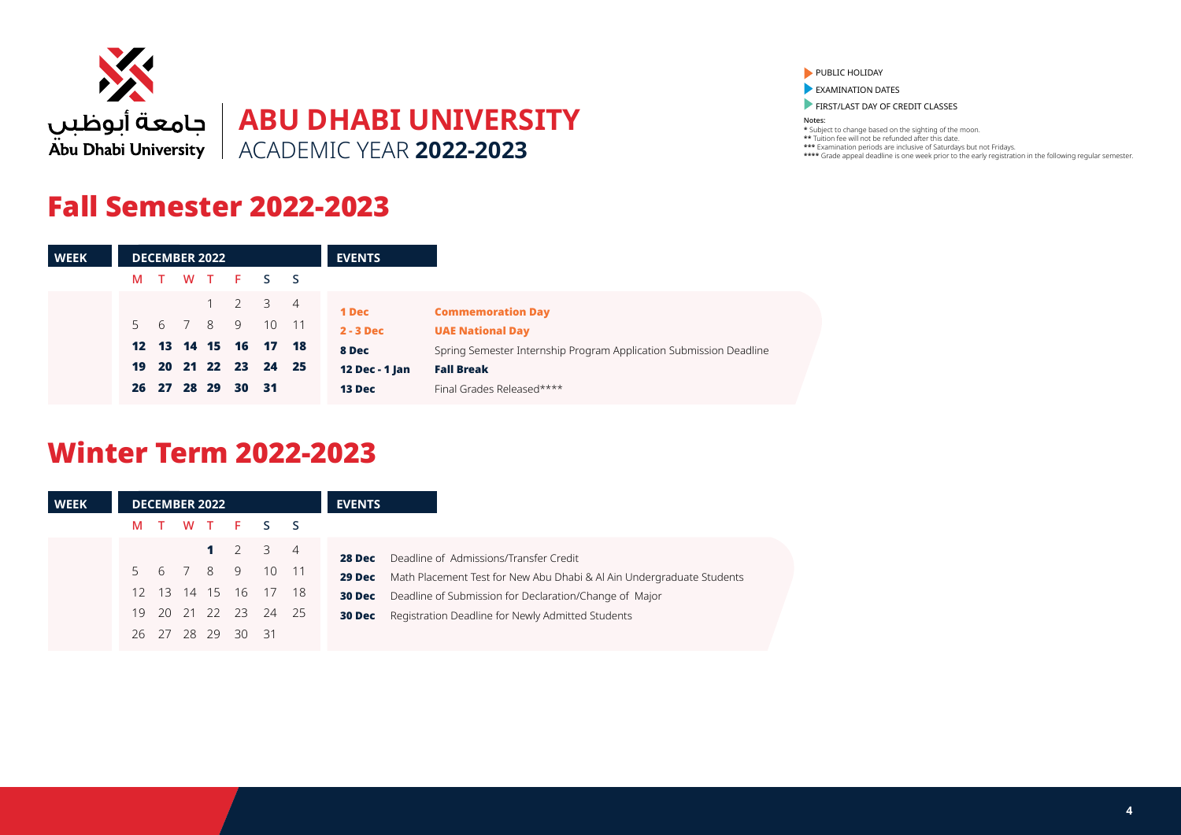

## Fall Semester 2022-2023

| <b>WEEK</b> |    |          | <b>DECEMBER 2022</b> |                            |  | <b>EVENTS</b>  |                                                                    |
|-------------|----|----------|----------------------|----------------------------|--|----------------|--------------------------------------------------------------------|
|             | M  |          |                      | TWTFSS                     |  |                |                                                                    |
|             |    |          |                      | 1 2 3 4                    |  | <b>1 Dec</b>   | <b>Commemoration Day</b>                                           |
|             |    |          |                      | 5 6 7 8 9 10 11            |  | $2 - 3$ Dec    | <b>UAE National Day</b>                                            |
|             |    |          |                      | 12  13  14  15  16  17  18 |  | 8 Dec          | Spring Semester Internship Program Application Submission Deadline |
|             | 19 |          |                      | 20 21 22 23 24 25          |  | 12 Dec - 1 Jan | <b>Fall Break</b>                                                  |
|             | 26 | 27 28 29 |                      | $30 \quad 31$              |  | 13 Dec         | Final Grades Released****                                          |

## Winter Term 2022-2023

| <b>WEEK</b> |       | <b>DECEMBER 2022</b> |             |                            | <b>EVENTS</b>                                                                                                                                       |
|-------------|-------|----------------------|-------------|----------------------------|-----------------------------------------------------------------------------------------------------------------------------------------------------|
|             | M T   |                      |             | WT FSS                     |                                                                                                                                                     |
|             |       |                      |             | 1 2 3 4<br>5 6 7 8 9 10 11 | Deadline of Admissions/Transfer Credit<br>28 Dec                                                                                                    |
|             |       |                      |             | 12 13 14 15 16 17 18       | Math Placement Test for New Abu Dhabi & Al Ain Undergraduate Students<br>29 Dec<br>Deadline of Submission for Declaration/Change of Major<br>30 Dec |
|             | 26 27 |                      | 28 29 30 31 | 19 20 21 22 23 24 25       | Registration Deadline for Newly Admitted Students<br>30 Dec                                                                                         |

### PUBLIC HOLIDAY

**EXAMINATION DATES** 

FIRST/LAST DAY OF CREDIT CLASSES

Notes: \* Subject to change based on the sighting of the moon. \*\* Tuition fee will not be refunded after this date.

\*\*\* Examination periods are inclusive of Saturdays but not Fridays.

\*\*\*\* Grade appeal deadline is one week prior to the early registration in the following regular semester.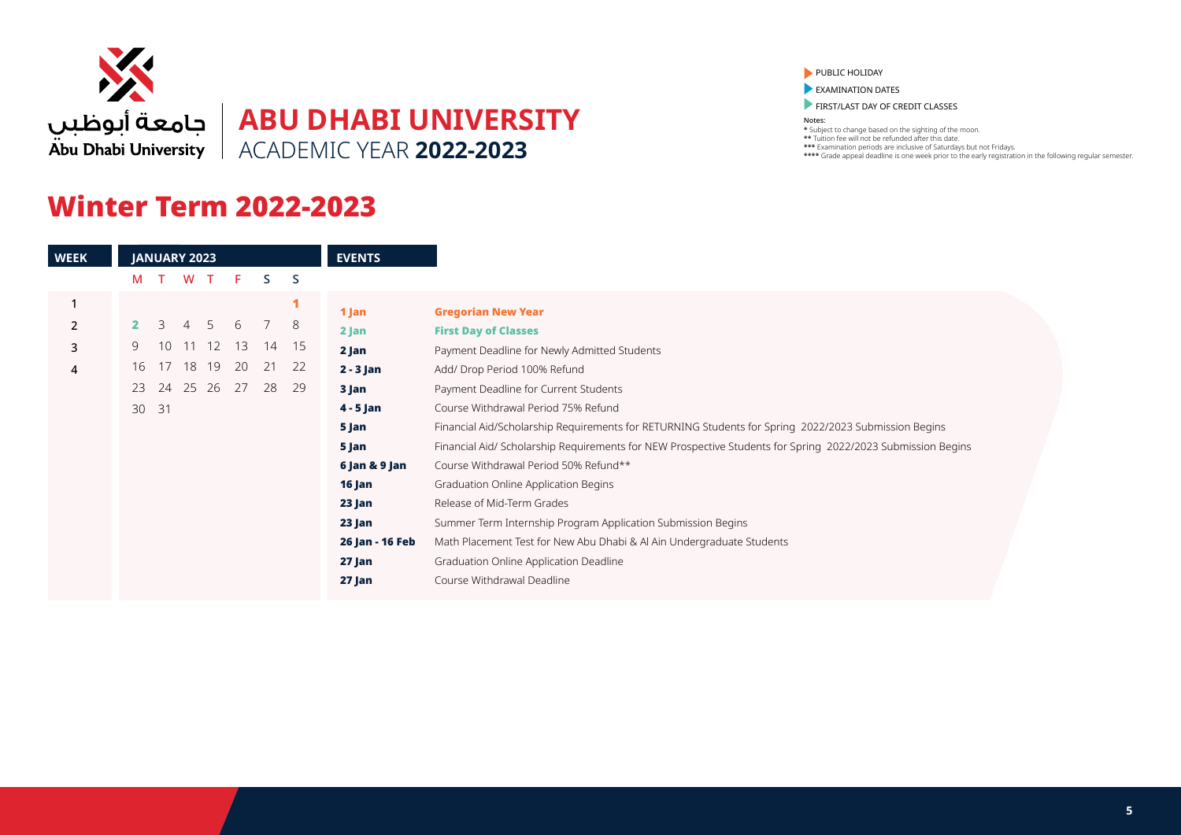

# **ABU DHABI UNIVERSITY** ACADEMIC YEAR **2022-2023**

## Winter Term 2022-2023

#### PUBLIC HOLIDAY

**EXAMINATION DATES** 

**FIRST/LAST DAY OF CREDIT CLASSES** 

Notes:

|    | <b>JANUARY 2023</b> |                |       |    |    |              | <b>EVENTS</b>   |                                                                                                             |
|----|---------------------|----------------|-------|----|----|--------------|-----------------|-------------------------------------------------------------------------------------------------------------|
| M  |                     | W              |       | F. | S. | <sub>S</sub> |                 |                                                                                                             |
|    |                     |                |       |    |    |              | 1 Jan           | <b>Gregorian New Year</b>                                                                                   |
|    | 3                   | $\overline{4}$ | .5    | 6  |    | 8            | $2$ Jan         | <b>First Day of Classes</b>                                                                                 |
| 9. | 10                  |                | 11 12 | 13 | 14 | 15           | 2 Jan           | Payment Deadline for Newly Admitted Students                                                                |
| 16 | 17                  | 18             | 19    | 20 | 21 | 22           | $2 - 3$ Jan     | Add/ Drop Period 100% Refund                                                                                |
| 23 | 24                  |                | 25 26 | 27 | 28 | 29           | 3 Jan           | Payment Deadline for Current Students                                                                       |
| 30 | 31                  |                |       |    |    |              | $4 - 5$ Jan     | Course Withdrawal Period 75% Refund                                                                         |
|    |                     |                |       |    |    |              | 5 Jan           | Financial Aid/Scholarship Requirements for RETURNING Students for Spring 2022/2023 Submission Begins        |
|    |                     |                |       |    |    |              | 5 Jan           | Financial Aid/ Scholarship Requirements for NEW Prospective Students for Spring 2022/2023 Submission Begins |
|    |                     |                |       |    |    |              | 6 Jan & 9 Jan   | Course Withdrawal Period 50% Refund**                                                                       |
|    |                     |                |       |    |    |              | 16 Jan          | Graduation Online Application Begins                                                                        |
|    |                     |                |       |    |    |              | 23 Jan          | Release of Mid-Term Grades                                                                                  |
|    |                     |                |       |    |    |              | 23 Jan          | Summer Term Internship Program Application Submission Begins                                                |
|    |                     |                |       |    |    |              | 26 Jan - 16 Feb | Math Placement Test for New Abu Dhabi & Al Ain Undergraduate Students                                       |
|    |                     |                |       |    |    |              | 27 Jan          | Graduation Online Application Deadline                                                                      |
|    |                     |                |       |    |    |              | 27 Jan          | Course Withdrawal Deadline                                                                                  |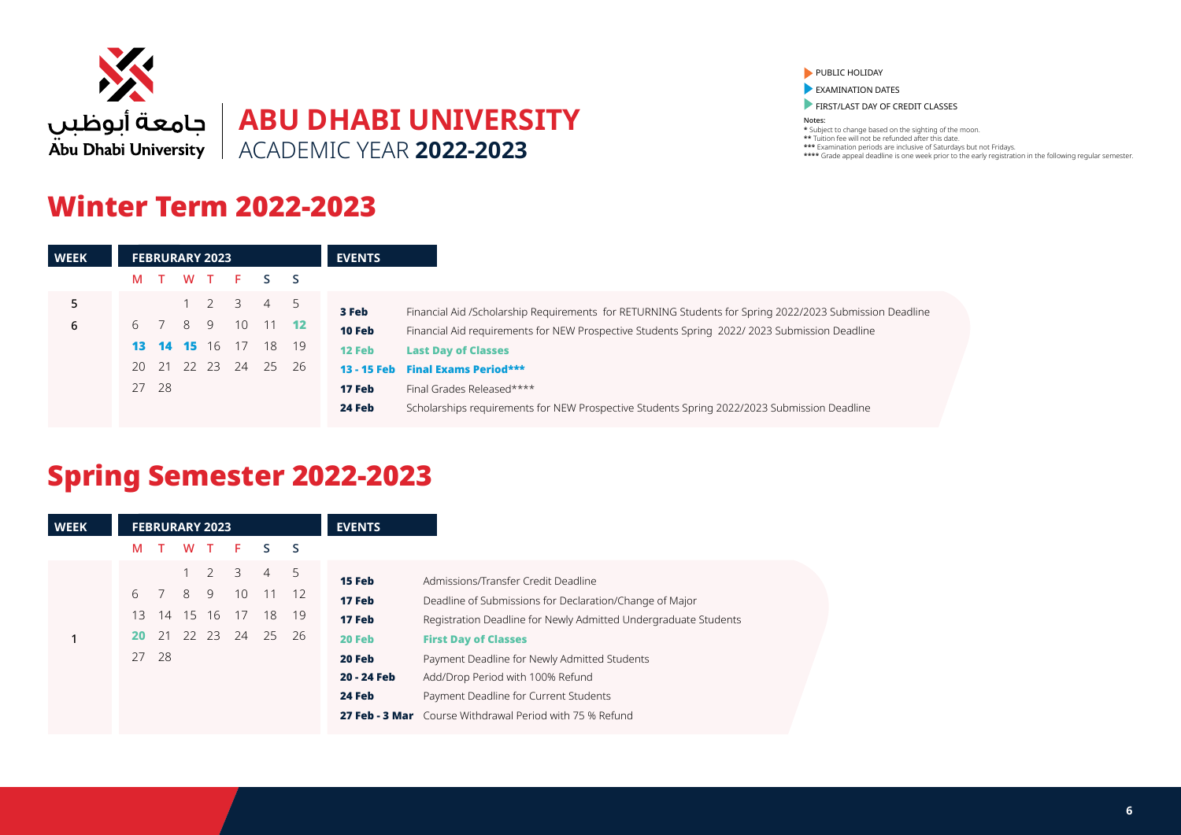

## Winter Term 2022-2023

PUBLIC HOLIDAY

**EXAMINATION DATES** 

FIRST/LAST DAY OF CREDIT CLASSES

Notes: \* Subject to change based on the sighting of the moon. \*\* Tuition fee will not be refunded after this date. \*\*\* Examination periods are inclusive of Saturdays but not Fridays. \*\*\*\* Grade appeal deadline is one week prior to the early registration in the following regular semester.

| <b>WEEK</b> |   |         | <b>FEBRURARY 2023</b> |                     |                             |     | <b>EVENTS</b> |                                                                                                         |
|-------------|---|---------|-----------------------|---------------------|-----------------------------|-----|---------------|---------------------------------------------------------------------------------------------------------|
|             | M |         |                       |                     | WT F S S                    |     |               |                                                                                                         |
| 5           |   |         |                       | $1 \quad 2 \quad 3$ | $\overline{4}$              | - 5 | 3 Feb         | Financial Aid /Scholarship Requirements for RETURNING Students for Spring 2022/2023 Submission Deadline |
| 6           |   | 6 7 8 9 |                       |                     | 10 11 12                    |     | 10 Feb        | Financial Aid requirements for NEW Prospective Students Spring 2022/2023 Submission Deadline            |
|             |   |         |                       |                     | <b>13 14 15</b> 16 17 18 19 |     | 12 Feb        | <b>Last Day of Classes</b>                                                                              |
|             |   | 20 21   | 22 23                 | 24                  | 25 26                       |     |               | 13 - 15 Feb Final Exams Period***                                                                       |
|             |   | 27 28   |                       |                     |                             |     | 17 Feb        | Final Grades Released****                                                                               |
|             |   |         |                       |                     |                             |     | 24 Feb        | Scholarships requirements for NEW Prospective Students Spring 2022/2023 Submission Deadline             |
|             |   |         |                       |                     |                             |     |               |                                                                                                         |

# Spring Semester 2022-2023

| <b>WEEK</b> | <b>FEBRURARY 2023</b>                                                                                                                                                      | <b>EVENTS</b>                                                                                                                                                                                                                                                                                                                                                                                                                                                        |
|-------------|----------------------------------------------------------------------------------------------------------------------------------------------------------------------------|----------------------------------------------------------------------------------------------------------------------------------------------------------------------------------------------------------------------------------------------------------------------------------------------------------------------------------------------------------------------------------------------------------------------------------------------------------------------|
|             | F.<br>W<br>T<br>S.<br>м<br>s S                                                                                                                                             |                                                                                                                                                                                                                                                                                                                                                                                                                                                                      |
|             | $\overline{2}$<br>3<br>$-5$<br>$\overline{4}$<br>8<br>9<br>10<br>6<br>$11 \quad 12$<br>14 15 16<br>13<br>17<br>18<br>- 19<br>22 23<br>24<br>25<br>21<br>-26<br>20<br>27 28 | 15 Feb<br>Admissions/Transfer Credit Deadline<br>17 Feb<br>Deadline of Submissions for Declaration/Change of Major<br>17 Feb<br>Registration Deadline for Newly Admitted Undergraduate Students<br>20 Feb<br><b>First Day of Classes</b><br>20 Feb<br>Payment Deadline for Newly Admitted Students<br>20 - 24 Feb<br>Add/Drop Period with 100% Refund<br>24 Feb<br>Payment Deadline for Current Students<br>27 Feb - 3 Mar Course Withdrawal Period with 75 % Refund |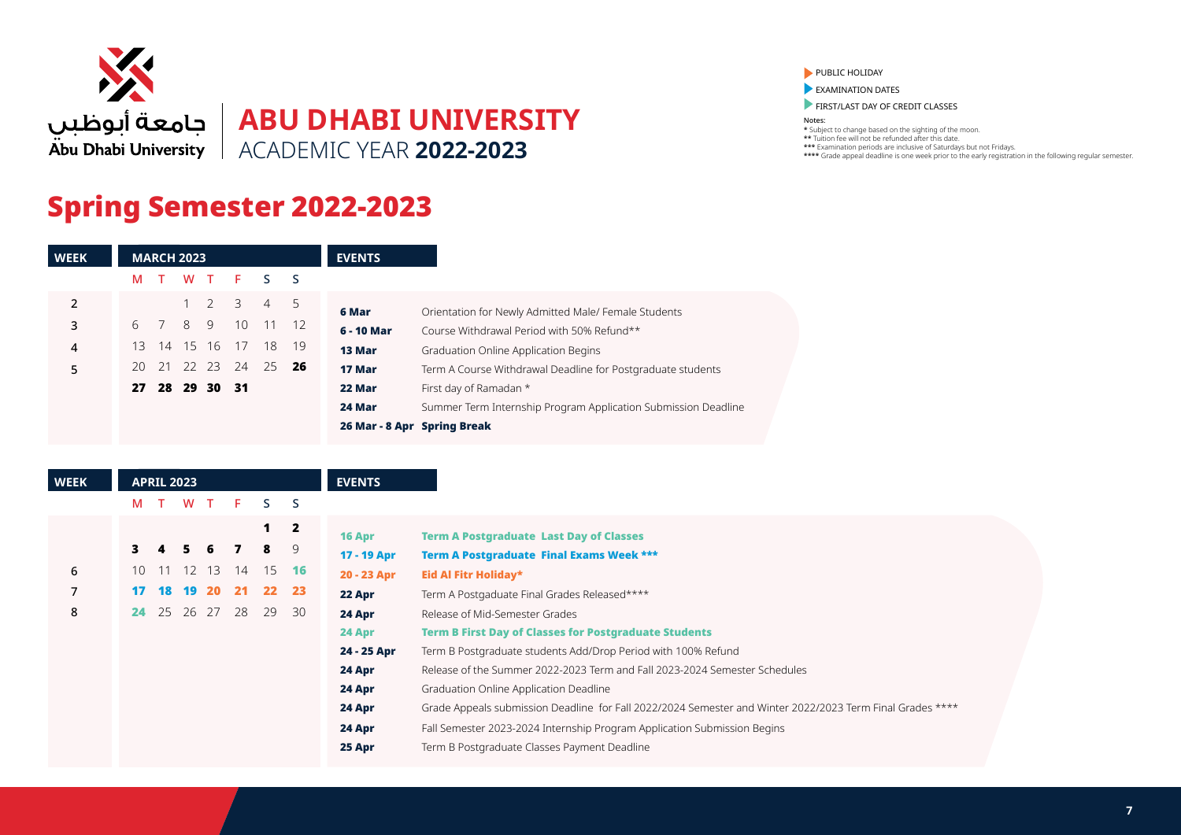

# **ABU DHABI UNIVERSITY** ACADEMIC YEAR **2022-2023**

# Spring Semester 2022-2023

| <b>WEEK</b>    |     | <b>MARCH 2023</b> |       |                |         |                |      | <b>EVENTS</b>                                                            |
|----------------|-----|-------------------|-------|----------------|---------|----------------|------|--------------------------------------------------------------------------|
|                | м   | T                 |       |                | W T F S |                | s S  |                                                                          |
| $\overline{2}$ |     |                   |       | $1\quad 2$     | 3       | $\overline{4}$ | 5    | Orientation for Newly Admitted Male/ Female Students<br>6 Mar            |
| 3              | 6   |                   | 8     | 9              | - 10    | 11 12          |      | 6 - 10 Mar<br>Course Withdrawal Period with 50% Refund**                 |
| 4              | 13. | - 14              |       | 15 16 17       |         | -18            | - 19 | 13 Mar<br>Graduation Online Application Begins                           |
| 5              |     | 20 21             | 22 23 |                | -24     | 25             | -26  | 17 Mar<br>Term A Course Withdrawal Deadline for Postgraduate students    |
|                |     |                   |       | 27 28 29 30 31 |         |                |      | First day of Ramadan *<br>22 Mar                                         |
|                |     |                   |       |                |         |                |      | Summer Term Internship Program Application Submission Deadline<br>24 Mar |
|                |     |                   |       |                |         |                |      | 26 Mar - 8 Apr Spring Break                                              |

| <b>WEEK</b> |    |    | <b>APRIL 2023</b> |             |     |                 |                         | <b>EVENTS</b> |                                                                                                           |
|-------------|----|----|-------------------|-------------|-----|-----------------|-------------------------|---------------|-----------------------------------------------------------------------------------------------------------|
|             | M  |    | W                 | Т           | F.  | ς.              | S                       |               |                                                                                                           |
|             |    |    |                   |             |     | 1               | $\overline{\mathbf{2}}$ | 16 Apr        | <b>Term A Postgraduate Last Day of Classes</b>                                                            |
|             | 3. |    | 5.                | 6           |     | 8               | 9                       | 17 - 19 Apr   | <b>Term A Postgraduate Final Exams Week ***</b>                                                           |
| 6           |    |    |                   | 10 11 12 13 | 14  | - 15            | -16                     | 20 - 23 Apr   | Eid Al Fitr Holiday*                                                                                      |
|             | 17 | 18 | 19                | <b>20</b>   | -21 | 22 <sub>2</sub> | 23                      | 22 Apr        | Term A Postgaduate Final Grades Released****                                                              |
| 8           | 24 | 25 | -26               | 27          | -28 | 29              | 30                      | 24 Apr        | Release of Mid-Semester Grades                                                                            |
|             |    |    |                   |             |     |                 |                         | 24 Apr        | <b>Term B First Day of Classes for Postgraduate Students</b>                                              |
|             |    |    |                   |             |     |                 |                         | 24 - 25 Apr   | Term B Postgraduate students Add/Drop Period with 100% Refund                                             |
|             |    |    |                   |             |     |                 |                         | 24 Apr        | Release of the Summer 2022-2023 Term and Fall 2023-2024 Semester Schedules                                |
|             |    |    |                   |             |     |                 |                         | 24 Apr        | Graduation Online Application Deadline                                                                    |
|             |    |    |                   |             |     |                 |                         | 24 Apr        | Grade Appeals submission Deadline for Fall 2022/2024 Semester and Winter 2022/2023 Term Final Grades **** |
|             |    |    |                   |             |     |                 |                         | 24 Apr        | Fall Semester 2023-2024 Internship Program Application Submission Begins                                  |
|             |    |    |                   |             |     |                 |                         | 25 Apr        | Term B Postgraduate Classes Payment Deadline                                                              |

#### PUBLIC HOLIDAY

**EXAMINATION DATES** 

FIRST/LAST DAY OF CREDIT CLASSES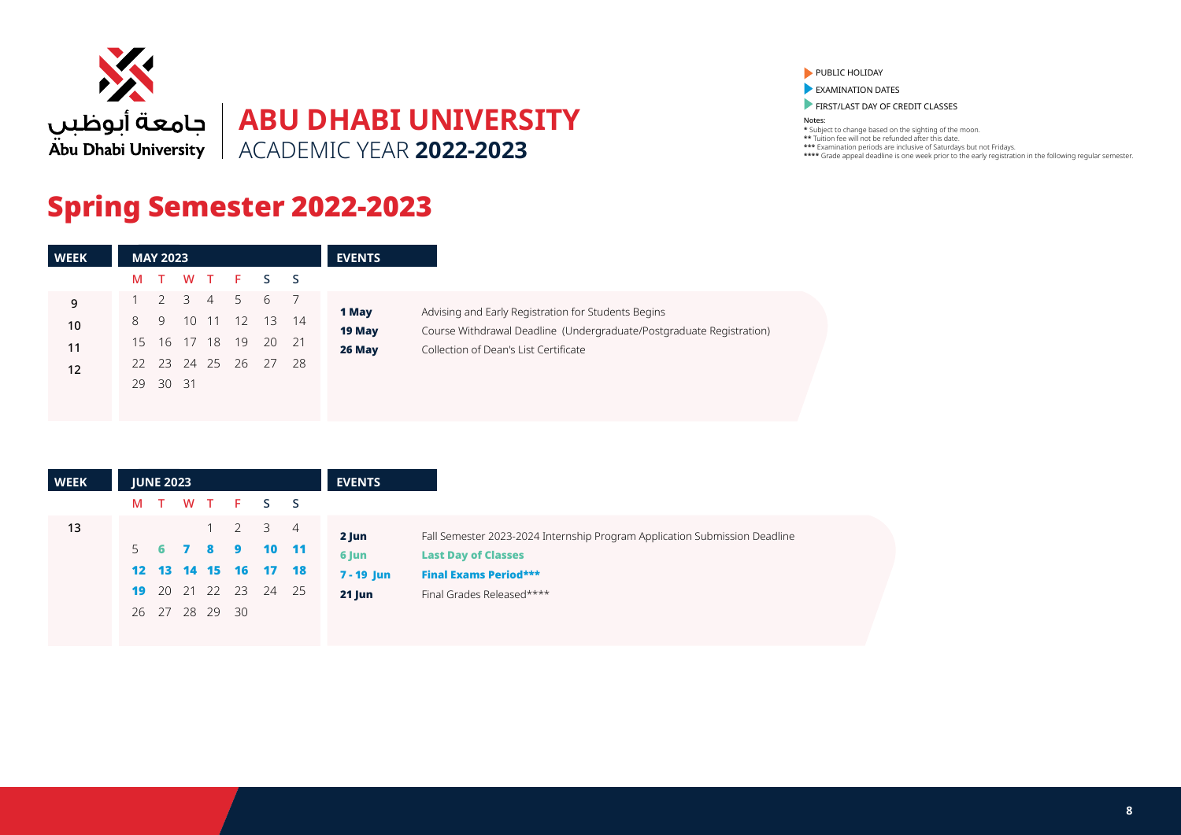

## Spring Semester 2022-2023

| Course Withdrawal Deadline (Undergraduate/Postgraduate Registration) |
|----------------------------------------------------------------------|
|                                                                      |
|                                                                      |
|                                                                      |
|                                                                      |

| <b>WEEK</b> |   | <b>JUNE 2023</b> |             |           |                                            | <b>EVENTS</b>         |                                                                            |
|-------------|---|------------------|-------------|-----------|--------------------------------------------|-----------------------|----------------------------------------------------------------------------|
|             | M | $\top$           |             |           | WT F S S                                   |                       |                                                                            |
| 13          |   |                  | $1 \quad 2$ |           | 3 4<br>$\blacksquare$ 10 $\blacksquare$ 11 | 2 Jun                 | Fall Semester 2023-2024 Internship Program Application Submission Deadline |
|             |   |                  |             | 5 6 7 8 9 | 12  13  14  15  16  17  18                 | 6 Jun<br>$7 - 19$ Jun | <b>Last Day of Classes</b><br><b>Final Exams Period***</b>                 |
|             |   |                  |             |           | 19 20 21 22 23 24 25                       | $21$ Jun              | Final Grades Released****                                                  |
|             |   | 26 27 28 29 30   |             |           |                                            |                       |                                                                            |

PUBLIC HOLIDAY

**EXAMINATION DATES** 

**FIRST/LAST DAY OF CREDIT CLASSES**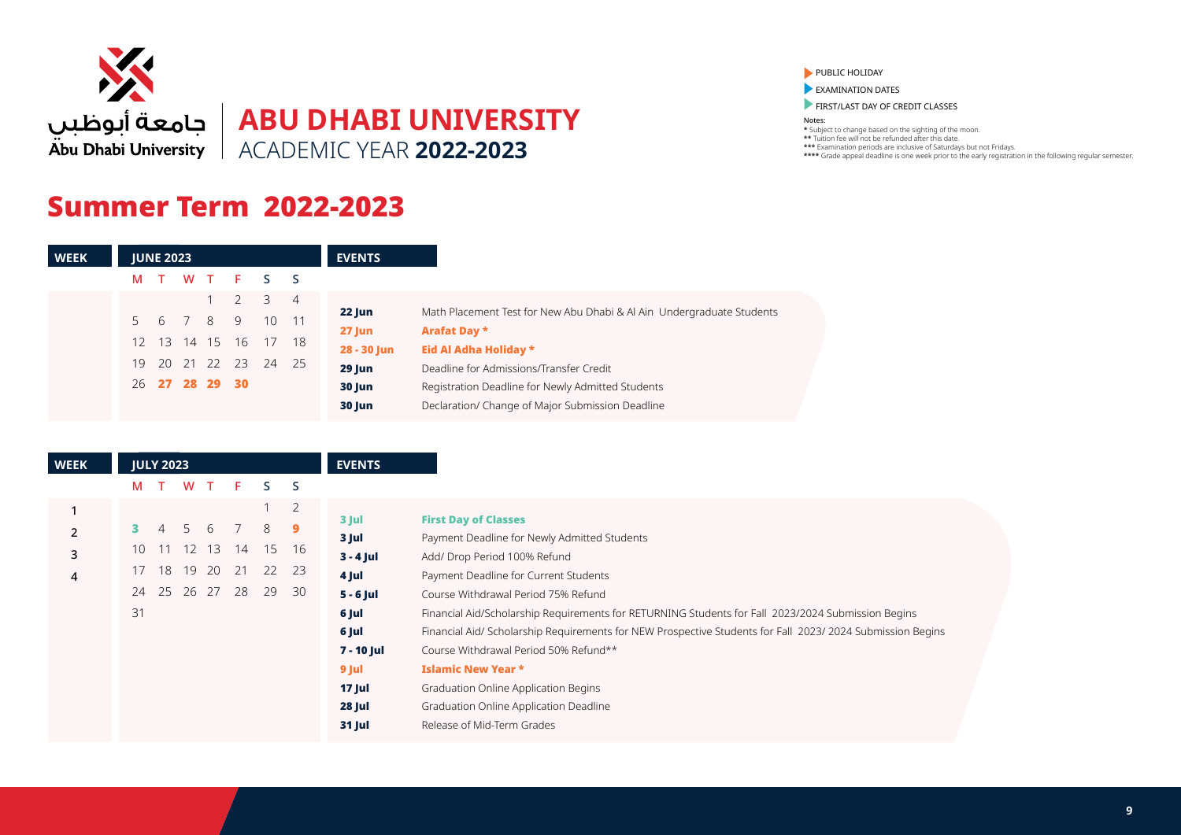

### Summer Term 2022-2023

| <b>WEEK</b> |     | <b>JUNE 2023</b> |                |             |           |                | <b>EVENTS</b> |                                                                       |
|-------------|-----|------------------|----------------|-------------|-----------|----------------|---------------|-----------------------------------------------------------------------|
|             | M   | $\top$           |                |             | W T F S S |                |               |                                                                       |
|             |     |                  |                |             | 3         | $\overline{4}$ |               |                                                                       |
|             |     |                  | 5 6 7 8 9      |             | 10        | 11             | 22 Jun        | Math Placement Test for New Abu Dhabi & Al Ain Undergraduate Students |
|             |     |                  |                |             |           |                | $27$ Jun      | <b>Arafat Day *</b>                                                   |
|             | 12. |                  | 13 14 15 16    |             |           | - 18           | 28 - 30 Jun   | Eid Al Adha Holiday *                                                 |
|             | 19  |                  |                | 20 21 22 23 | 24        | 25             | $29$ Jun      | Deadline for Admissions/Transfer Credit                               |
|             |     |                  | 26 27 28 29 30 |             |           |                | 30 Jun        | Registration Deadline for Newly Admitted Students                     |
|             |     |                  |                |             |           |                | 30 Jun        | Declaration/ Change of Major Submission Deadline                      |

| <b>WEEK</b> |    | <b>JULY 2023</b> |                |          |     |    |              | <b>EVENTS</b> |                                                                                                           |
|-------------|----|------------------|----------------|----------|-----|----|--------------|---------------|-----------------------------------------------------------------------------------------------------------|
|             | M  |                  | W              |          | F.  | S. | <sub>S</sub> |               |                                                                                                           |
|             |    |                  |                |          |     |    | 2            |               |                                                                                                           |
|             |    |                  | $\overline{D}$ | 6        |     | 8  | 9            | 3 Jul         | <b>First Day of Classes</b>                                                                               |
|             |    |                  |                |          |     |    |              | 3 Jul         | Payment Deadline for Newly Admitted Students                                                              |
| 3           | 10 | 11               |                | 12 13    | -14 | 15 | 16           | $3 - 4$ Jul   | Add/ Drop Period 100% Refund                                                                              |
| 4           | 17 | 18               |                | 19 20 21 |     | 22 | 23           | 4 Jul         | Payment Deadline for Current Students                                                                     |
|             | 24 | 25               | -26            | 27       | 28  | 29 | 30           | $5 - 6$ Jul   | Course Withdrawal Period 75% Refund                                                                       |
|             | 31 |                  |                |          |     |    |              | 6 Jul         | Financial Aid/Scholarship Requirements for RETURNING Students for Fall 2023/2024 Submission Begins        |
|             |    |                  |                |          |     |    |              | 6 Jul         | Financial Aid/ Scholarship Requirements for NEW Prospective Students for Fall 2023/2024 Submission Begins |
|             |    |                  |                |          |     |    |              | 7 - 10 Jul    | Course Withdrawal Period 50% Refund**                                                                     |
|             |    |                  |                |          |     |    |              | 9 Jul         | <b>Islamic New Year *</b>                                                                                 |
|             |    |                  |                |          |     |    |              | <b>17 Jul</b> | Graduation Online Application Begins                                                                      |
|             |    |                  |                |          |     |    |              | <b>28 Jul</b> | Graduation Online Application Deadline                                                                    |
|             |    |                  |                |          |     |    |              | <b>31 Jul</b> | Release of Mid-Term Grades                                                                                |
|             |    |                  |                |          |     |    |              |               |                                                                                                           |

PUBLIC HOLIDAY

**EXAMINATION DATES** 

**FIRST/LAST DAY OF CREDIT CLASSES**